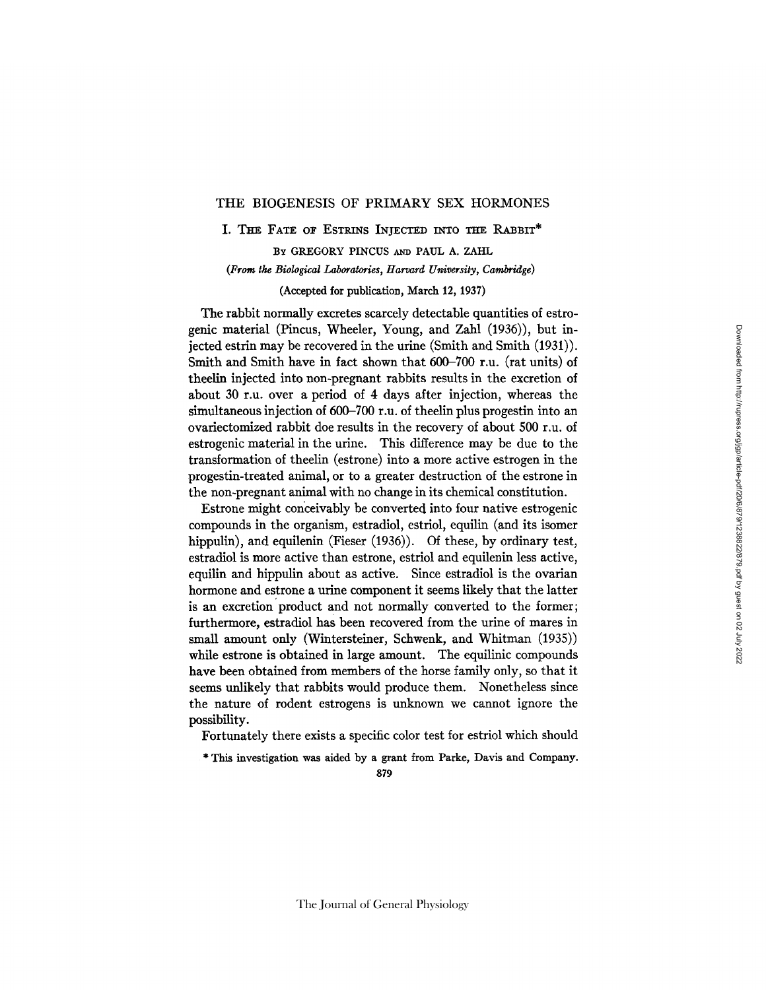# THE BIOGENESIS OF PRIMARY SEX HORMONES

I. THE FATE OF ESTRINS INJECTED INTO THE RABBIT\*

BY GREGORY PINCUS AND PAUL A. ZAHL *(From the Biological Laboratories, Harvard University, Cambridge)* 

(Accepted for publication, March 12, 1937)

The rabbit normally excretes scarcely detectable quantities of estrogenic material (Pincus, Wheeler, Young, and Zahl (1936)), but injected estrin may be recovered in the urine (Smith and Smith (1931)). Smith and Smith have in fact shown that 600-700 r.u. (rat units) of theelin injected into non-pregnant rabbits results in the excretion of about 30 r.u. over a period of 4 days after injection, whereas the simultaneous injection of 600-700 r.u. of theelin plus progestin into an ovariectomized rabbit doe results in the recovery of about 500 r.u. of estrogenic material in the urine. This difference may be due to the transformation of theelin (estrone) into a more active estrogen in the progestin-treated animal, or to a greater destruction of the estrone in the non-pregnant animal with no change in its chemical constitution.

Estrone might conceivably be converted into four native estrogenic compounds in the organism, estradiol, estriol, equilin (and its isomer hippulin), and equilenin (Fieser (1936)). Of these, by ordinary test, estradiol is more active than estrone, estriol and equilenin less active, equilin and hippulin about as active. Since estradiol is the ovarian hormone and estrone a urine component it seems likely that the latter is an excretion product and not normally converted to the former; furthermore, estradiol has been recovered from the urine of mares in small amount only (Wintersteiner, Schwenk, and Whitman (1935)) while estrone is obtained in large amount. The equilinic compounds have been obtained from members of the horse family only, so that it seems unlikely that rabbits would produce them. Nonetheless since the nature of rodent estrogens is unknown we cannot ignore the possibility.

Fortunately there exists a specific color test for estriol which should

\* This investigation was aided by a grant from Parke, Davis and Company.

879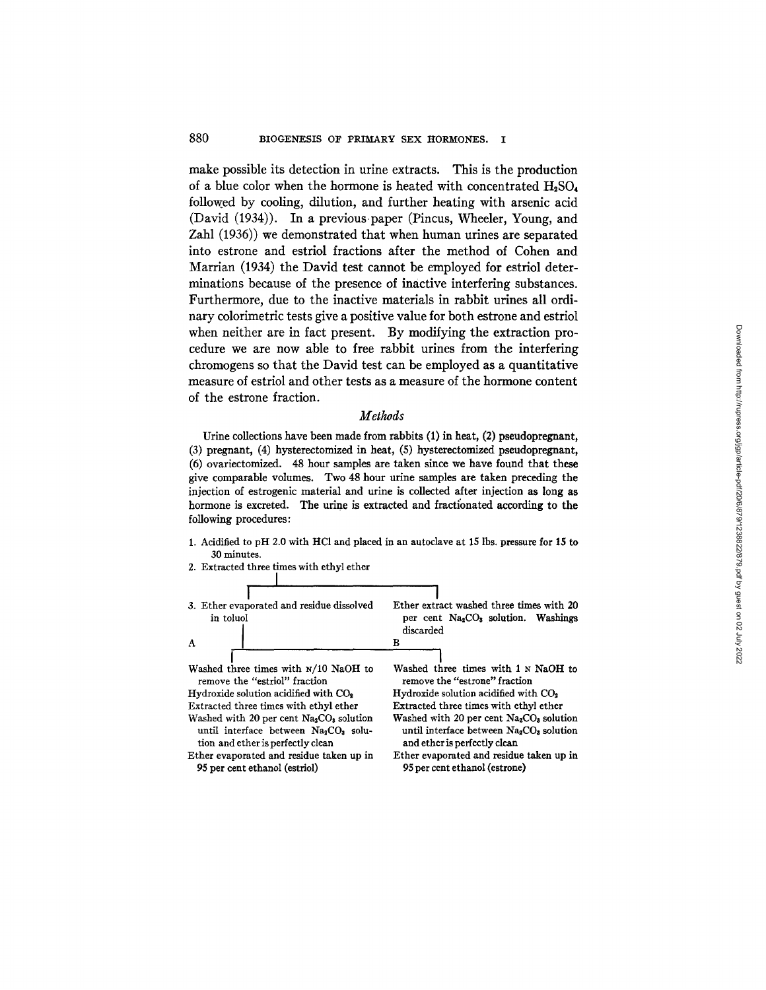make possible its detection in urine extracts. This is the production of a blue color when the hormone is heated with concentrated  $H_2SO_4$ followed by cooling, dilution, and further heating with arsenic acid (David (1934)). In a previous paper (Pincus, Wheeler, Young, and Zahl (1936)) we demonstrated that when human urines are separated into estrone and estriol fractions after the method of Cohen and Marrian (1934) the David test cannot be employed for estriol determinations because of the presence of inactive interfering substances. Furthermore, due to the inactive materials in rabbit urines all ordinary colorimetric tests give a positive value for both estrone and estriol when neither are in fact present. By modifying the extraction procedure we are now able to free rabbit urines from the interfering chromogens so that the David test can be employed as a quantitative measure of estriol and other tests as a measure of the hormone content of the estrone fraction.

## *Methods*

Urine collections have been made from rabbits (1) in heat, (2) pseudopregnant, (3) pregnant, (4) hysterectomized in heat, (5) hysterectomized pseudopregnant, (6) ovariectomized. 48 hour samples are taken since we have found that these give comparable volumes. Two 48 hour urine samples are taken preceding the injection of estrogenic material and urine is collected after injection as long as hormone is excreted. The urine is extracted and fraetionated according to the following procedures:

- 1. Acidified to pH 2.0 with HCI and placed in an autoclave at 15 lbs. pressure for 15 to 30 minutes.
- 2. Extracted three times with ethyl ether **I I**  3. Ether evaporated and residue dissolved **I**  Ether extract washed three times with 20 per cent Na<sub>2</sub>CO<sub>3</sub> solution. Washings in toluol discarded  $\, {\bf B}$  $\mathbf{A}$ **I**  Washed three times with 1 N NaOH to **I**  Washed three times with N/10 NaOH to remove the *"estriol"* fraction remove the "estrone" fraction Hydroxide solution acidified with CO<sub>2</sub> Hydroxide solution acidified with CO<sub>2</sub> Extracted three times with ethyl ether Extracted three times with ethyl ether Washed with 20 per cent Na<sub>2</sub>CO<sub>s</sub> solution Washed with 20 per cent  $Na<sub>2</sub>CO<sub>3</sub>$  solution until interface between Na<sub>2</sub>CO<sub>3</sub> solution until interface between Na<sub>2</sub>CO<sub>3</sub> solution and ether is perfectly clean and ether is perfectly clean Ether evaporated and residue taken up in Ether evaporated and residue taken up in 95 per cent ethanol (estriol) 95 per cent ethanol (estrone)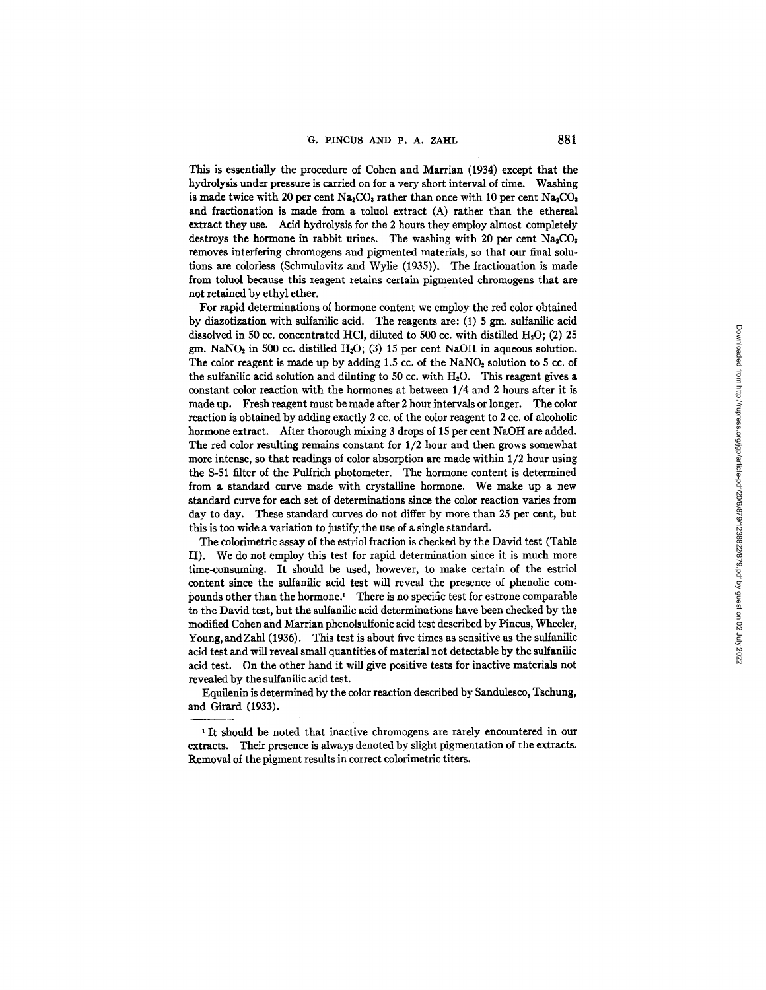This is essentially the procedure of Cohen and Martian (1934) except that the hydrolysis under pressure is carried on for a very short interval of time. Washing is made twice with 20 per cent  $Na_2CO_3$  rather than once with 10 per cent  $Na_2CO_3$ and fractionation is made from a toluol extract (A) rather than the ethereal extract they use. Acid hydrolysis for the 2 hours they employ almost completely destroys the hormone in rabbit urines. The washing with 20 per cent Na<sub>2</sub>CO<sub>8</sub> removes interfering chromogens and pigmented materials, so that our final solutions are colorless (Schmulovitz and Wylie (1935)). The fractionation is made from toluol because this reagent retains certain pigmented chromogens that are not retained by ethyl ether.

For rapid determinations of hormone content we employ the red color obtained by diazotization with sulfanilic acid. The reagents are:  $(1)$  5 gm, sulfanilic acid dissolved in 50 cc. concentrated HCl, diluted to 500 cc. with distilled  $H_2O$ ; (2) 25 gm. NaNO<sub>2</sub> in 500 cc. distilled H<sub>2</sub>O; (3) 15 per cent NaOH in aqueous solution. The color reagent is made up by adding 1.5 cc. of the  $\text{NaNO}_2$  solution to 5 cc. of the sulfanilic acid solution and diluting to 50 cc. with  $H_2O$ . This reagent gives a constant color reaction with the hormones at between 1/4 and 2 hours after it is made up. Fresh reagent must be made after 2 hour intervals or longer. The color reaction is obtained by adding exactly 2 cc. of the color reagent to 2 cc. of alcoholic hormone extract. After thorough mixing 3 drops of 15 per cent NaOH are added. The red color resulting remains constant for 1/2 hour and then grows somewhat more intense, so that readings of color absorption are made within 1/2 hour using the S-51 filter of the Pulfrich photometer. The hormone content is determined from a standard curve made with crystalline hormone. We make up a new standard curve for each set of determinations since the color reaction varies from day to day. These standard curves do not differ by more than 25 per cent, but this is too wide a variation to justify.the use of a single standard.

The colorimetric assay of the estriol fraction is checked by the David test (Table II). We do not employ this test for rapid determination since it is much more time-consuming. It should be used, however, to make certain of the estriol content since the sulfanilic acid test will reveal the presence of phenolic compounds other than the hormone.<sup>1</sup> There is no specific test for estrone comparable to the David test, but the sulfanilic acid determinations have been checked by the modified Cohen and Martian phenolsulfonic acid test described by Pincus, Wheeler, Young, andZahl (1936). This test is about five times as sensitive as the sulfanilic acid test and will reveal small quantities of material not detectable by the sulfanilic acid test. On the other hand it will give positive tests for inactive materials not revealed by the sulfanilic acid test.

Equllenin is determined by the color reaction described by Sandulesco, Tschung, and Girard (1933).

<sup>1</sup> It should be noted that inactive chromogens are rarely encountered in our extracts. Their presence is always denoted by slight pigmentation of the extracts. Removal of the pigment results in correct colorimetric titers.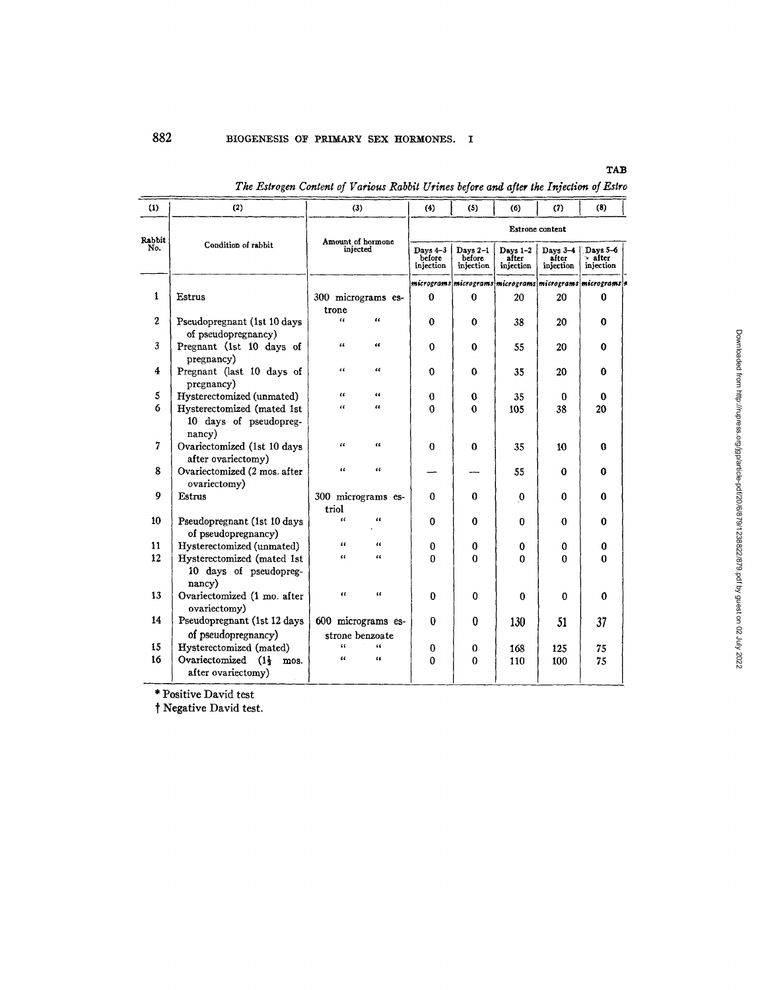# TAB

|                                                                                       | ---- |
|---------------------------------------------------------------------------------------|------|
| The Estrogen Content of Various Rabbit Urines before and after the Injection of Estro |      |
|                                                                                       |      |

| (1)            | (2)                                                            | (3)                                   |                         | (4)                             | (5)                             | (6)                              | (7)                                                      | (8)                              |  |
|----------------|----------------------------------------------------------------|---------------------------------------|-------------------------|---------------------------------|---------------------------------|----------------------------------|----------------------------------------------------------|----------------------------------|--|
|                |                                                                |                                       |                         |                                 |                                 |                                  | Estrone content                                          |                                  |  |
| Rabbit<br>No.  | Condition of rabbit                                            | Amount of hormone<br>injected         |                         | Days 4-3<br>before<br>injection | Days 2-1<br>before<br>injection | Days $1-2$<br>after<br>injection | Days $3-4$<br>after<br>injection                         | Days 5-6<br>after -<br>injection |  |
|                |                                                                |                                       |                         |                                 |                                 |                                  | micrograms micrograms micrograms micrograms micrograms 4 |                                  |  |
| $\mathbf{1}$   | Estrus                                                         | 300 micrograms es-<br>trone           |                         | 0                               | $\bf{0}$                        | 20                               | 20                                                       | 0                                |  |
| $\mathbf{2}$   | Pseudopregnant (1st 10 days<br>of pseudopregnancy)             | $\alpha$                              | 66                      | 0                               | $\mathbf{0}$                    | 38                               | 20                                                       | 0                                |  |
| 3              | Pregnant (1st 10 days of<br>pregnancy)                         | $\overline{u}$                        | $\epsilon$              | $\mathbf{0}$                    | $\bf{0}$                        | 55                               | 20                                                       | 0                                |  |
| 4              | Pregnant (last 10 days of<br>pregnancy)                        | u                                     | $\epsilon$              | $\Omega$                        | $\bf{0}$                        | 35                               | 20                                                       | 0                                |  |
| 5              | Hysterectomized (unmated)                                      | $\ddot{\phantom{a}}$                  | $\epsilon$              | 0                               | $\bf{0}$                        | 35                               | 0                                                        | 0                                |  |
| 6              | Hysterectomized (mated 1st<br>10 days of pseudopreg-<br>nancy) | $\epsilon$                            | $\epsilon$              | 0                               | 0                               | 105                              | 38                                                       | 20                               |  |
| $\overline{7}$ | Ovariectomized (1st 10 days<br>after ovariectomy)              | $\epsilon$                            | $\mathbf{u}$            | 0                               | $\Omega$                        | 35                               | 10                                                       | 0                                |  |
| 8              | Ovariectomized (2 mos. after<br>ovariectomy)                   | $\mathbf{a}$                          | $\epsilon$              |                                 |                                 | 55                               | 0                                                        | 0                                |  |
| 9              | Estrus                                                         | 300 micrograms es-<br>triol           |                         | 0                               | $\Omega$                        | $\bf{0}$                         | 0                                                        | 0                                |  |
| 10             | Pseudopregnant (1st 10 days<br>of pseudopregnancy)             | $\epsilon$                            | 4                       | $\bf{0}$                        | $\bf{0}$                        | $\bf{0}$                         | 0                                                        | 0                                |  |
| 11             | Hysterectomized (unmated)                                      | $\epsilon$                            | 46                      | 0                               | 0                               | 0                                | 0                                                        | 0                                |  |
| 12             | Hysterectomized (mated 1st<br>10 days of pseudopreg-<br>nancy) | $\mathfrak{c}$                        | $\overline{\mathbf{a}}$ | 0                               | $\Omega$                        | 0                                | 0                                                        | $\Omega$                         |  |
| 13             | Ovariectomized (1 mo. after<br>ovariectomy)                    | $\epsilon$                            | œ                       | $\bf{0}$                        | $\mathbf 0$                     | $\mathbf{0}$                     | 0                                                        | 0                                |  |
| 14             | Pseudopregnant (1st 12 days<br>of pseudopregnancy)             | 600 micrograms es-<br>strone benzoate |                         | 0                               | $\bf{0}$                        | 130                              | 51                                                       | 37                               |  |
| 15             | Hysterectomized (mated)                                        | $\epsilon$                            | 66                      | $\bf{0}$                        | 0                               | 168                              | 125                                                      | 75                               |  |
| 16             | Ovariectomized $(1\frac{1}{2})$ mos.<br>after ovariectomy)     | $\epsilon$                            | 66                      | Û                               | $\Omega$                        | 110                              | 100                                                      | 75                               |  |

\* Positive David test

t Negative David test.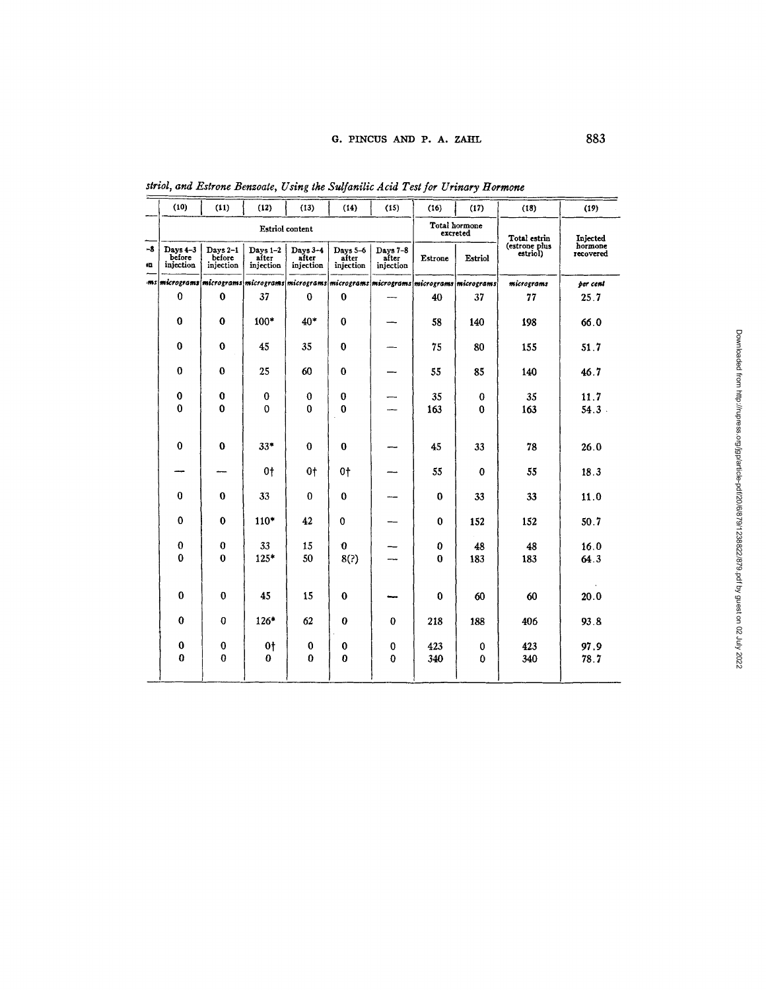|           | (10)                            | (11)                                                                                               | (12)                           | (13)                           | (14)                           | (15)                           | (16)     | (17)                      | (18)                      | (19)                             |
|-----------|---------------------------------|----------------------------------------------------------------------------------------------------|--------------------------------|--------------------------------|--------------------------------|--------------------------------|----------|---------------------------|---------------------------|----------------------------------|
|           |                                 |                                                                                                    |                                | Estriol content                |                                |                                |          | Total hormone<br>excreted | Total estrin              |                                  |
| -8<br>ij. | Days 4-3<br>before<br>injection | Days 2-1<br>before<br>injection                                                                    | Days 1-2<br>after<br>injection | Days 3-4<br>after<br>injection | Days 5-6<br>after<br>injection | Days 7-8<br>after<br>injection | Estrone  | Estriol                   | (estrone plus<br>estriol) | Injected<br>hormone<br>recovered |
|           |                                 | ms  micrograms  micrograms  micrograms  micrograms  micrograms  micrograms  micrograms  micrograms |                                |                                |                                |                                |          |                           | micrograms                | per cent                         |
|           | $\bf{0}$                        | $\bf{0}$                                                                                           | 37                             | $\bf{0}$                       | $\bf{0}$                       |                                | 40       | 37                        | 77                        | 25.7                             |
|           | $\bf{0}$                        | 0                                                                                                  | 100*                           | $40*$                          | $\bf{0}$                       |                                | 58       | 140                       | 198                       | 66.0                             |
|           | $\bf{0}$                        | $\bf{0}$                                                                                           | 45                             | 35                             | $\bf{0}$                       |                                | 75       | 80                        | 155                       | 51.7                             |
|           | $\bf{0}$                        | $\bf{0}$                                                                                           | 25                             | 60                             | $\bf{0}$                       |                                | 55       | 85                        | 140                       | 46.7                             |
|           | $\bf{0}$                        | 0                                                                                                  | $\bf{0}$                       | $\bf{0}$                       | $\bf{0}$                       |                                | 35       | $\bf{0}$                  | 35                        | 11.7                             |
|           | $\bf{0}$                        | 0                                                                                                  | $\bf{0}$                       | $\bf{0}$                       | $\bf{0}$                       |                                | 163      | $\bf{0}$                  | 163                       | $54.3$ .                         |
|           |                                 |                                                                                                    |                                |                                |                                |                                |          |                           |                           |                                  |
|           | $\bf{0}$                        | 0                                                                                                  | $33*$                          | $\bf{0}$                       | $\bf{0}$                       |                                | 45       | 33                        | 78                        | 26.0                             |
|           |                                 |                                                                                                    | 0t                             | 0t                             | 0t                             |                                | 55       | $\bf{0}$                  | 55                        | 18.3                             |
|           | $\bf{0}$                        | $\bf{0}$                                                                                           | 33                             | $\bf{0}$                       | $\bf{0}$                       |                                | $\bf{0}$ | 33                        | 33                        | 11.0                             |
|           | $\bf{0}$                        | $\bf{0}$                                                                                           | $110*$                         | 42                             | $\bf{0}$                       |                                | 0        | 152                       | 152                       | 50.7                             |
|           | $\bf{0}$                        | 0                                                                                                  | 33                             | 15                             | $\mathbf 0$                    |                                | 0        | 48                        | 48                        | 16.0                             |
|           | $\bf{0}$                        | $\bf{0}$                                                                                           | $125*$                         | 50                             | 8(?)                           |                                | $\bf{0}$ | 183                       | 183                       | 64.3                             |
|           |                                 |                                                                                                    |                                |                                |                                |                                |          |                           |                           |                                  |
|           | $\mathbf 0$                     | $\bf{0}$                                                                                           | 45                             | 15                             | $\bf{0}$                       |                                | $\bf{0}$ | 60                        | 60                        | 20.0                             |
|           | $\mathbf 0$                     | 0                                                                                                  | $126*$                         | 62                             | 0                              | $\bf{0}$                       | 218      | 188                       | 406                       | 93.8                             |
|           | 0                               | $\bf{0}$                                                                                           | 0 <sup>†</sup>                 | 0                              | 0                              | 0                              | 423      | 0                         | 423                       | 97.9                             |
|           | $\bf{0}$                        | 0                                                                                                  | $\bf{0}$                       | $\bf{0}$                       | $\bf{0}$                       | $\bf{0}$                       | 340      | $\bf{0}$                  | 340                       | 78.7                             |
|           |                                 |                                                                                                    |                                |                                |                                |                                |          |                           |                           |                                  |

*striol, and Estrone Benzoate, Using the Sulfanilic Acid Test for Urinary Hormone*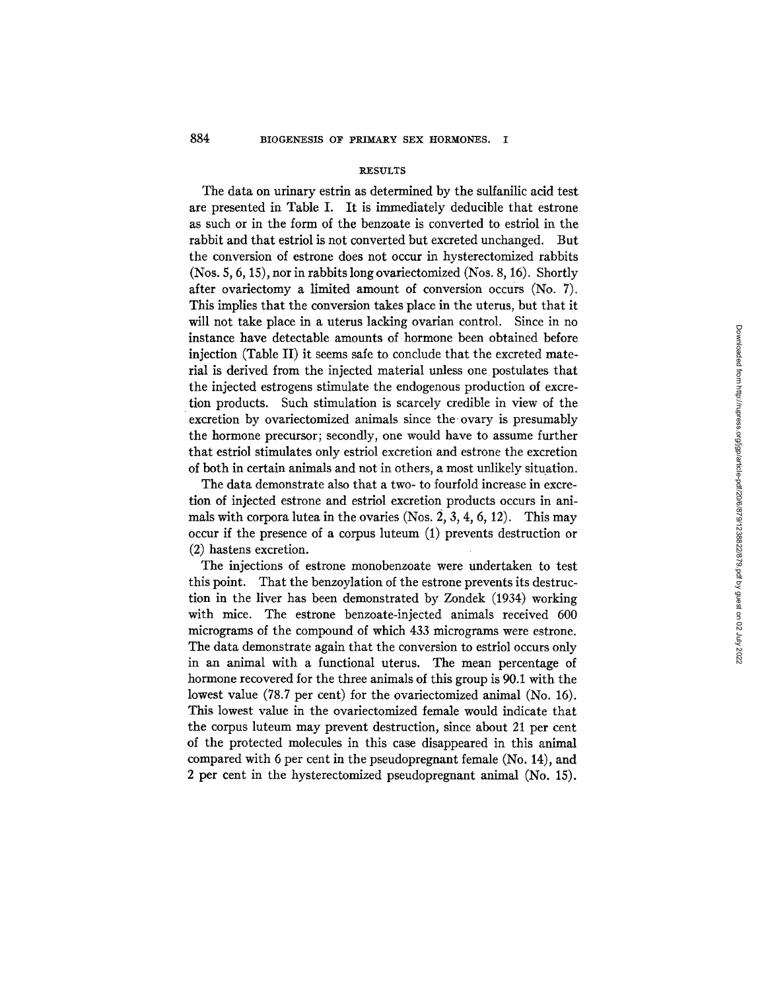#### RESULTS

The data on urinary estrin as determined by the sulfanilic acid test arc presented in Table I. It is immediately deducible that cstrone as such or in the form of the benzoate is converted to estriol in the rabbit and that estriol is not converted but excreted unchanged. But the conversion of estrone does not occur in hysterectomized rabbits (Nos. 5, 6, 15), nor in rabbits long ovaricctomizcd (Nos. 8, 16). Shortly after ovariectomy a limited amount of conversion occurs (No. 7). This implies that the conversion takes place in the uterus, but that it will not take place in a uterus lacking ovarian control. Since in no instance have detectable amounts of hormone been obtained before injection (Table II) it seems safe to conclude that the excreted material is derived from the injected material unless one postulates that the injected estrogens stimulate the endogenous production of cxcrction products. Such stimulation is scarcely credible in view of the excretion by ovaricctomizcd animals since the-ovary is presumably the hormone precursor; secondly, one would have to assume further that cstriol stimulates only cstriol excretion and estrone the excretion of both in certain animals and not in others, a most unlikely situation.

The data demonstrate also that a two- to fourfold increase in excretion of injected cstronc and estriol excretion products occurs in animals with corpora lutea in the ovaries  $(Nos. 2, 3, 4, 6, 12)$ . This may occur if the presence of a corpus lutcum (I) prevents destruction or (2) hastens excretion.

The injections of estrone monobenzoate were undertaken to test this point. That the benzoylation of the cstronc prevents its destruction in the liver has been demonstrated by Zondek (1934) working with mice. The estrone benzoate-injected animals received 600 micrograms of the compound of which 433 micrograms were cstronc. The data demonstrate again that the conversion to estriol occurs only in an animal with a functional uterus. The mean percentage of hormone recovered for the three animals of this group is 90.1 with the lowest value (78.7 per cent) for the ovariectomized animal (No. 16). This lowest value in the ovaricctomized female would indicate that the corpus luteum may prevent destruction, since about 21 per cent of thc protected molecules in this case disappeared in this animal compared with 6 per cent in the pseudopregnant female (No. 14), and 2 per cent in the hysterectomized pseudopregnant animal (No. 15).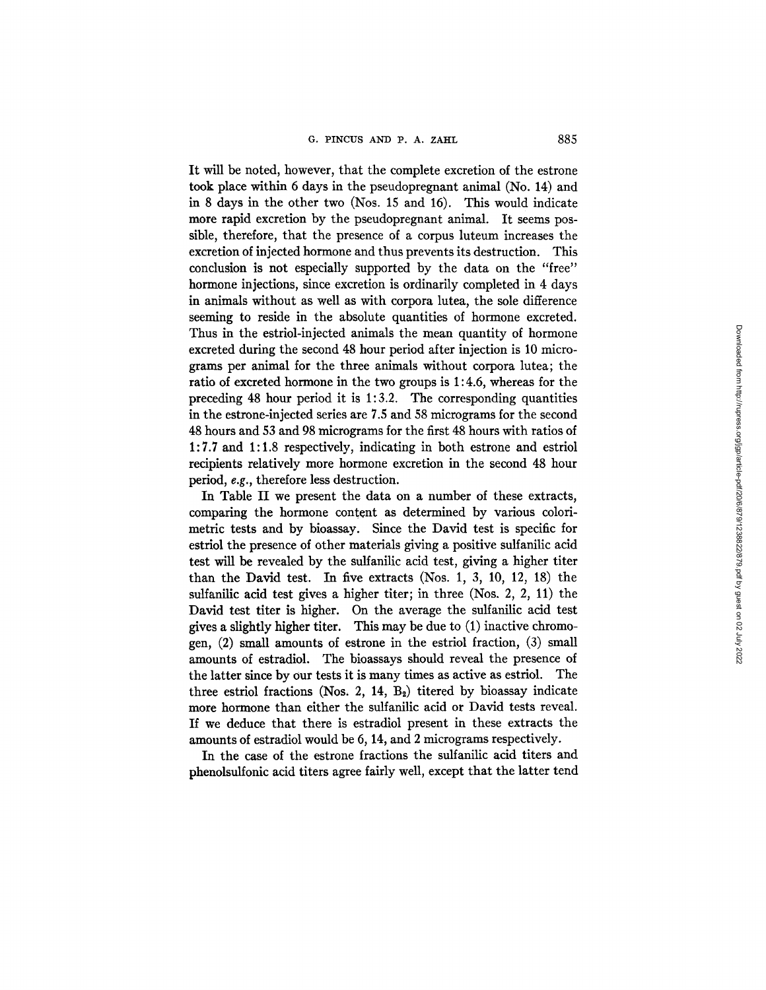It will be noted, however, that the complete excretion of the estrone took place within 6 days in the pseudopregnant animal (No. 14) and in 8 days in the other two (Nos. 15 and 16). This would indicate more rapid excretion by the pseudopregnant animal. It seems possible, therefore, that the presence of a corpus luteum increases the excretion of injected hormone and thus prevents its destruction. This conclusion is not especially supported by the data on the "free" hormone injections, since excretion is ordinarily completed in 4 days in animals without as well as with corpora lutea, the sole difference seeming to reside in the absolute quantities of hormone excreted. Thus in the estriol-injected animals the mean quantity of hormone excreted during the second 48 hour period after injection is 10 micrograms per animal for the three animals without corpora lutea; the ratio of excreted hormone in the two groups is 1:4.6, whereas for the preceding 48 hour period it is 1:3.2. The corresponding quantities in the estrone-injected series are 7.5 and 58 micrograms for the second 48 hours and 53 and 98 micrograms for the first 48 hours with ratios of 1:7.7 and 1:1.8 respectively, indicating in both estrone and estriol recipients relatively more hormone excretion in the second 48 hour period, *e.g.,* therefore less destruction.

In Table II we present the data on a number of these extracts, comparing the hormone content as determined by various colorimetric tests and by bioassay. Since the David test is specific for estriol the presence of other materials giving a positive sulfanilic acid test will be revealed by the sulfanilic acid test, giving a higher titer than the David test. In five extracts (Nos. 1, 3, 10, 12, 18) the sulfanilic acid test gives a higher titer; in three (Nos. 2, 2, 11) the David test titer is higher. On the average the sulfanilic acid test gives a slightly higher titer. This may be due to (1) inactive chromogen, (2) small amounts of estrone in the estriol fraction, (3) small amounts of estradiol. The bioassays should reveal the presence of the latter since by our tests it is many times as active as estriol. The three estriol fractions (Nos. 2, 14,  $B_2$ ) titered by bioassay indicate more hormone than either the sulfanilic acid or David tests reveal. If we deduce that there is estradiol present in these extracts the amounts of estradiol would be 6, 14, and 2 micrograms respectively.

In the case of the estrone fractions the sulfanilic acid titers and phenolsulfonic acid titers agree fairly well, except that the latter tend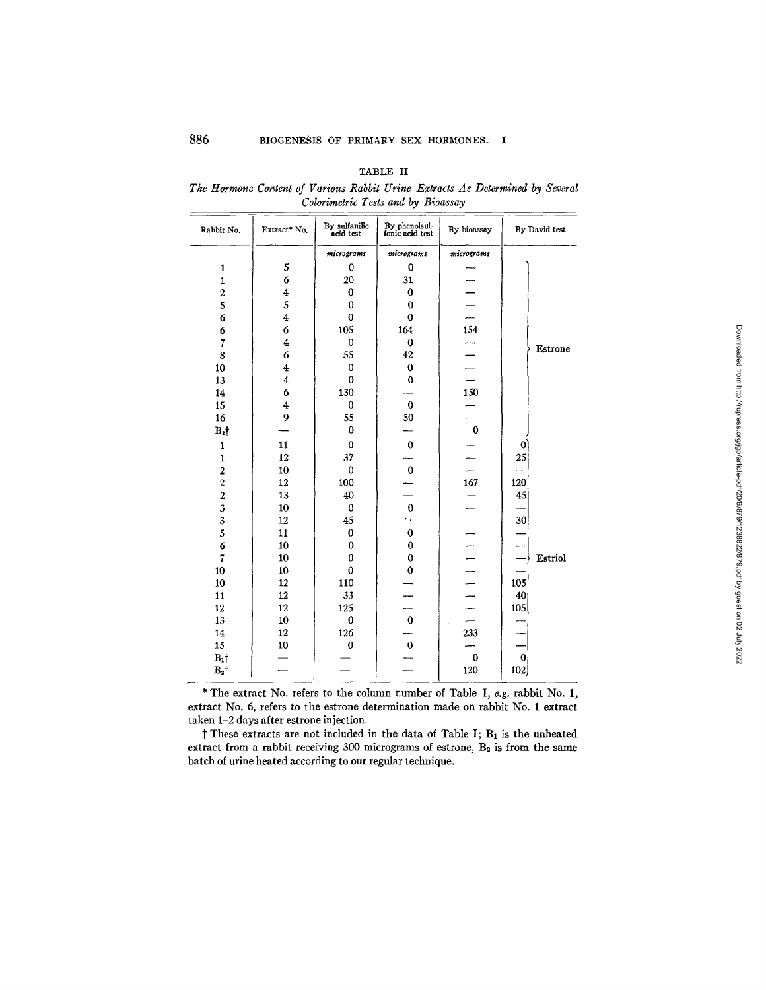| ۰.<br>۰, |  |
|----------|--|
|----------|--|

*The Hormone Content of Various Rabbit Urine Extracts As Determined by Several Colorimetric Tests and by Bioassay* 

| Rabbit No.              | Extract* No.            | By sulfanilic<br>acid test | By phenolsul-<br>fonic acid test | By bioassay              | By David test   |
|-------------------------|-------------------------|----------------------------|----------------------------------|--------------------------|-----------------|
|                         |                         | micrograms                 | micrograms                       | micrograms               |                 |
| 1                       | 5                       | 0                          | $\bf{0}$                         |                          |                 |
| $\mathbf{1}$            | 6                       | 20                         | 31                               |                          |                 |
| $\overline{c}$          | 4                       | $\bf{0}$                   | $\bf{0}$                         |                          |                 |
| 5                       | 5                       | $\bf{0}$                   | $\bf{0}$                         |                          |                 |
| 6                       | $\overline{\mathbf{4}}$ | $\bf{0}$                   | $\bf{0}$                         |                          |                 |
| 6                       | 6                       | 105                        | 164                              | 154                      |                 |
| 7                       | $\bf{4}$                | $\bf{0}$                   | $\bf{0}$                         |                          |                 |
| 8                       | 6                       | 55                         | 42                               |                          | Estrone         |
| 10                      | 4                       | $\bf{0}$                   | $\bf{0}$                         |                          |                 |
| 13                      | $\overline{\mathbf{4}}$ | $\bf{0}$                   | 0                                |                          |                 |
| 14                      | 6                       | 130                        |                                  | 150                      |                 |
| 15                      | 4                       | $\bf{0}$                   | $\bf{0}$                         |                          |                 |
| 16                      | 9                       | 55                         | 50                               |                          |                 |
| $B_2$                   |                         | $\bf{0}$                   |                                  | $\bf{0}$                 |                 |
| $\mathbf{1}$            | 11                      | $\bf{0}$                   | $\theta$                         |                          | $\vert 0 \vert$ |
| $\mathbf{1}$            | 12                      | 37                         |                                  |                          | 25              |
| $\overline{\mathbf{c}}$ | 10                      | $\bf{0}$                   | $\mathbf 0$                      |                          |                 |
| $\overline{\mathbf{c}}$ | 12                      | 100                        |                                  | $\frac{167}{ }$          | 120             |
| $\overline{2}$          | 13                      | 40                         |                                  |                          | 45              |
| $\overline{\mathbf{3}}$ | 10                      | $\bf{0}$                   | $\bf{0}$                         |                          |                 |
| 3                       | 12                      | 45                         | حد                               | —                        | 30              |
| $\overline{5}$          | 11                      | $\bf{0}$                   | $\bf{0}$                         |                          |                 |
| $\boldsymbol{6}$        | 10                      | $\bf{0}$                   | $\bf{0}$                         | $\frac{1}{1}$            |                 |
| $\overline{7}$          | 10                      | $\bf{0}$                   | $\bf{0}$                         |                          | Estriol         |
| 10                      | 10                      | $\mathbf 0$                | $\mathbf 0$                      | $\overline{\phantom{0}}$ |                 |
| 10                      | 12                      | 110                        |                                  | $\leftarrow$             | 105             |
| 11                      | 12                      | 33                         |                                  |                          | 40              |
| 12                      | 12                      | 125                        | —                                |                          | 105             |
| 13                      | 10                      | $\bf{0}$                   | $\bf{0}$                         |                          |                 |
| 14                      | 12                      | 126                        |                                  | 233                      |                 |
| 15                      | 10                      | $\bf{0}$                   | $\bf{0}$                         |                          |                 |
| $B_1$ †                 |                         |                            |                                  | $\bf{0}$                 | $\bf{0}$        |
| $B_2$ †                 |                         |                            |                                  | 120                      | 102             |

\* The extract No. refers to the column number of Table I, *e.g.* rabbit No. 1, extract No. 6, refers to the estrone determination made on rabbit No. 1 extract taken 1-2 days after estrone injection.

 $\dagger$  These extracts are not included in the data of Table I;  $B_1$  is the unheated extract from a rabbit receiving 300 micrograms of estrone,  $B_2$  is from the same batch of urine heated according to our regular technique.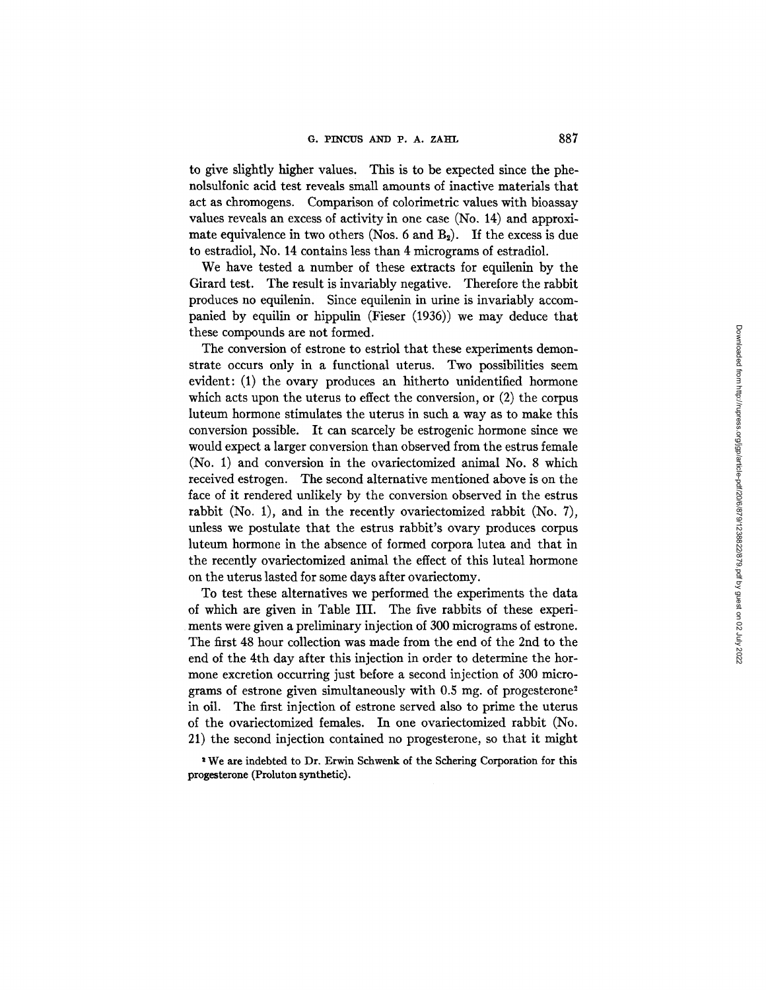to give slightly higher values. This is to be expected since the phenolsulfonic acid test reveals small amounts of inactive materials that act as chromogens. Comparison of colorimetric values with bioassay values reveals an excess of activity in one case (No. 14) and approximate equivalence in two others (Nos. 6 and  $B_2$ ). If the excess is due to estradiol, No. 14 contains less than 4 micrograms of estradiol.

We have tested a number of these extracts for equilenin by the Girard test. The result is invariably negative. Therefore the rabbit produces no equilenin. Since equilenin in urine is invariably accompanied by equilin or hippulin (Fieser (1936)) we may deduce that these compounds are not formed.

The conversion of estrone to estriol that these experiments demonstrate occurs only in a functional uterus. Two possibilities seem evident: (1) the ovary produces an hitherto unidentified hormone which acts upon the uterus to effect the conversion, or (2) the corpus luteum hormone stimulates the uterus in such a way as to make this conversion possible. It can scarcely be estrogenic hormone since we would expect a larger conversion than observed from the estrus female (No. 1) and conversion in the ovariectomized animal No. 8 which received estrogen. The second alternative mentioned above is on the face of it rendered unlikely by the conversion observed in the estrus rabbit (No. 1), and in the recently ovariectomized rabbit (No. 7), unless we postulate that the estrus rabbit's ovary produces corpus luteum hormone in the absence of formed corpora lutea and that in the recently ovariectomized animal the effect of this luteal hormone on the uterus lasted for some days after ovariectomy.

To test these alternatives we performed the experiments the data of which are given in Table III. The five rabbits of these experiments were given a preliminary injection of 300 micrograms of estrone. The first 48 hour collection was made from the end of the 2nd to the end of the 4th day after this injection in order to determine the hormone excretion occurring just before a second injection of 300 micrograms of estrone given simultaneously with  $0.5$  mg. of progesterone<sup>2</sup> in oil. The first injection of estrone served also to prime the uterus of the ovariectomized females. In one ovariectomized rabbit (No. 21) the second injection contained no progesterone, so that it might

<sup>2</sup> We are indebted to Dr. Erwin Schwenk of the Schering Corporation for this progesterone (Proluton synthetic).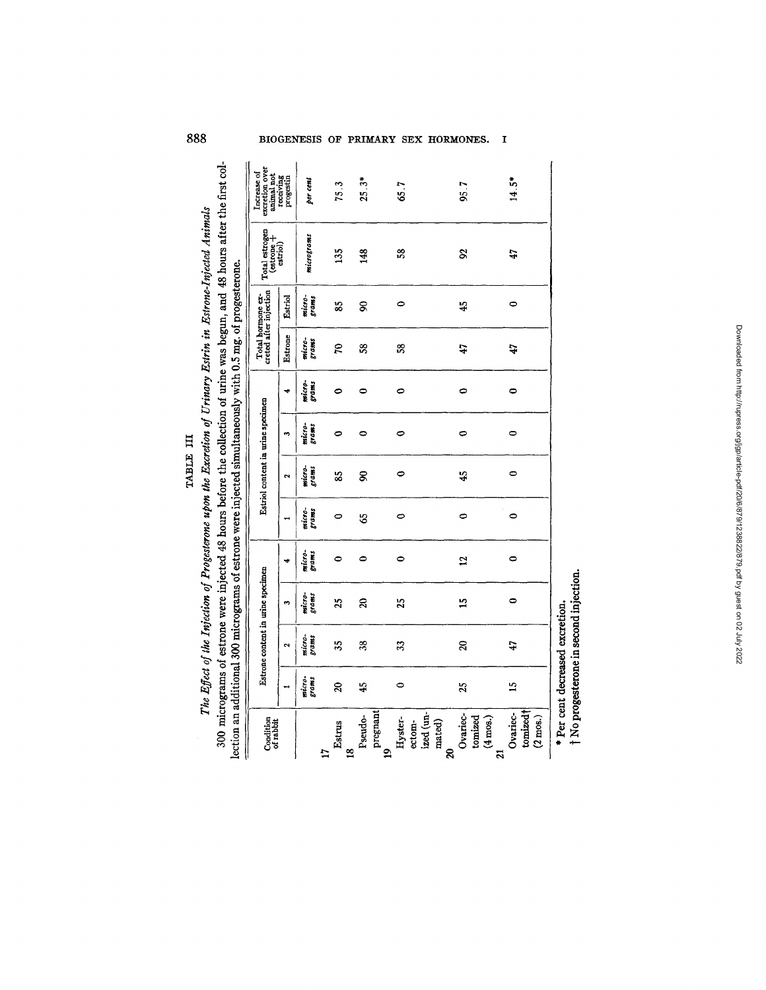| lection an additional 300 micrograms of estrone were injected simultaneously with 0.5 mg. of progesterone. |                 |                                 |                                        |                 |                 |                                   |                      |                 |                     |                                             |                             |                                             |
|------------------------------------------------------------------------------------------------------------|-----------------|---------------------------------|----------------------------------------|-----------------|-----------------|-----------------------------------|----------------------|-----------------|---------------------|---------------------------------------------|-----------------------------|---------------------------------------------|
| Condition<br>of rabbit                                                                                     |                 |                                 | Estrone content in urine specimen      |                 |                 | Estriol content in urine specimen |                      |                 |                     | Total hormone ex-<br>creted after injection | Total estrogen<br>(estrone+ | excretion over<br>animal not<br>Increase of |
|                                                                                                            |                 | $\ddot{\phantom{1}}$            | s                                      | ÷               |                 | $\mathbf{\tilde{c}}$              | $\ddot{\phantom{1}}$ | 4               | Estrone             | Estriol                                     | $_{\rm estrial}$            | receiving<br>progestin                      |
|                                                                                                            | micro-<br>grams | micro-<br>grams                 | micro-<br>$5$ rams                     | micro-<br>grams | micro-<br>grams | micro-<br>grams                   | micro-<br>54.04      | micro-<br>grams | micro-<br>$_{rams}$ | micro-<br>5000                              | micrograms                  | per cent                                    |
| Estrus<br>$\frac{8}{18}$<br>$\ddot{\phantom{0}}$                                                           | $\mathcal{S}$   | 35                              | 25                                     | $\bullet$       | 0               | 85                                | 0                    | 0               | 5                   | SS <sub>1</sub>                             | 135                         | 75.3                                        |
| pregnant<br>Pseudo-                                                                                        | 45              | 38                              | ສ                                      | ٥               | 55              | g                                 | 0                    | 0               | SS.                 | 8                                           | 148                         | $25.3*$                                     |
| ized (un-<br>Hyster-<br>ectom-<br>g                                                                        | $\bullet$       | 33                              | 25                                     | 0               | 0               | 0                                 | 0                    | 0               | S,                  | 0                                           | 58                          | 65.7                                        |
| Ovariec-<br>tomized<br>$(4 \text{ m/s.})$<br>mated)<br>ន                                                   | $\tilde{2}$     | $\mathbf{a}$                    | $\overline{1}$                         | ā,              | 0               | 45                                | 0                    | 0               | 47                  | 45                                          | S                           | 95.7                                        |
| tomized <sup>†</sup><br>Ovariec-<br>$(2 \text{ mos.})$<br>$\overline{a}$                                   | $\frac{5}{1}$   | 47                              | $\bullet$                              | $\circ$         | 0               | $\circ$                           | $\circ$              | 0               | 47                  | 0                                           | 47                          | $14.5*$                                     |
|                                                                                                            |                 | * Per cent decreased excretion. | † No progesterone in second injection. |                 |                 |                                   |                      |                 |                     |                                             |                             |                                             |

TABLE III

°≈

°~  $\bullet$ ខ.ទី

0

888 **BIOGENESIS OF PRIMARY SEX HORMONES.** I

Downloaded from http://rupress.org/jgp/article-pdf/20/6/879/1238822/879.pdf by guest on 02 July 2022 Downloaded from http://rupress.org/jgp/article-pdf/20/6/879/1238822/879.pdf by guest on 02 July 2022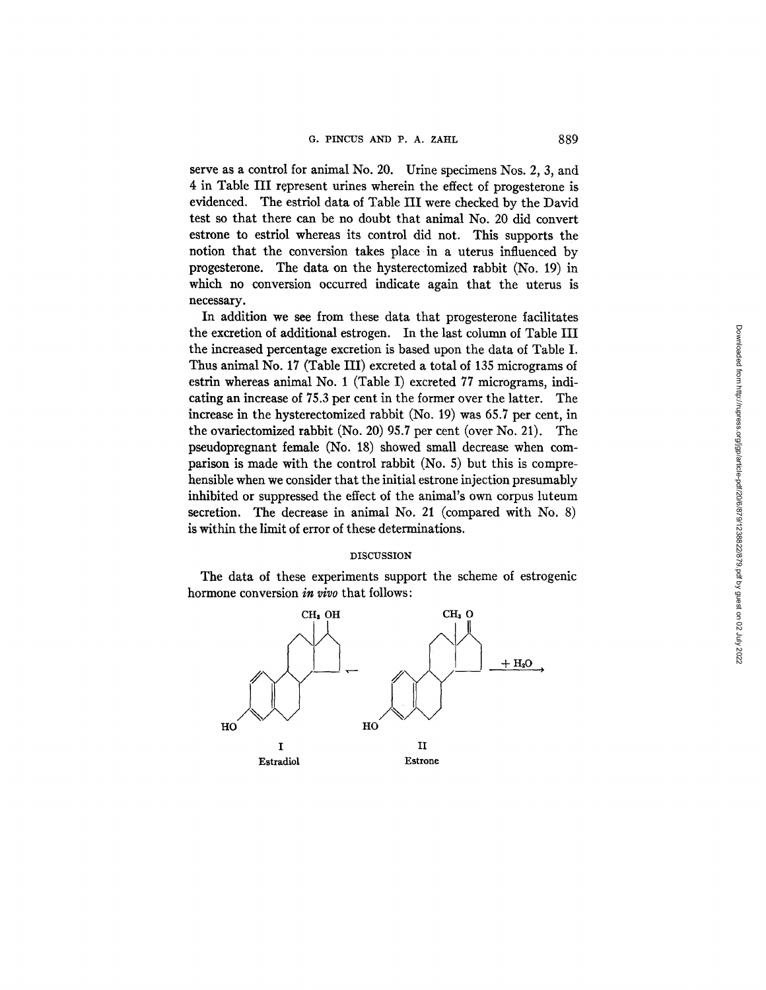serve as a control for animal No. 20. Urine specimens Nos. 2, 3, and 4 in Table III represent urines wherein the effect of progesterone is evidenced. The estriol data of Table III were checked by the David test so that there can be no doubt that animal No. 20 did convert estrone to estriol whereas its control did not. This supports the notion that the conversion takes place in a uterus influenced by progesterone. The data on the hysterectomized rabbit (No. 19) in which no conversion occurred indicate again that the uterus is necessary.

In addition we see from these data that progesterone facilitates the excretion of additional estrogen. In the last column of Table III the increased percentage excretion is based upon the data of Table I. Thus animal No. 17 (Table III) excreted a total of 135 micrograms of estrin whereas animal No. 1 (Table I) excreted 77 micrograms, indicating an increase of 75.3 per cent in the former over the latter. The increase in the hysterectomized rabbit (No. 19) was 65.7 per cent, in the ovariectomized rabbit (No. 20) 95.7 per cent (over No. 21). The pseudopregnant female (No. 18) showed small decrease when comparison is made with the control rabbit (No. 5) but this is comprehensible when we consider that the initial estrone injection presumably inhibited or suppressed the effect of the animal's own corpus luteum secretion. The decrease in animal No. 21 (compared with No. 8) is within the limit of error of these determinations.

## DISCUSSION

The data of these experiments support the scheme of estrogenic hormone conversion *in vivo* that follows:

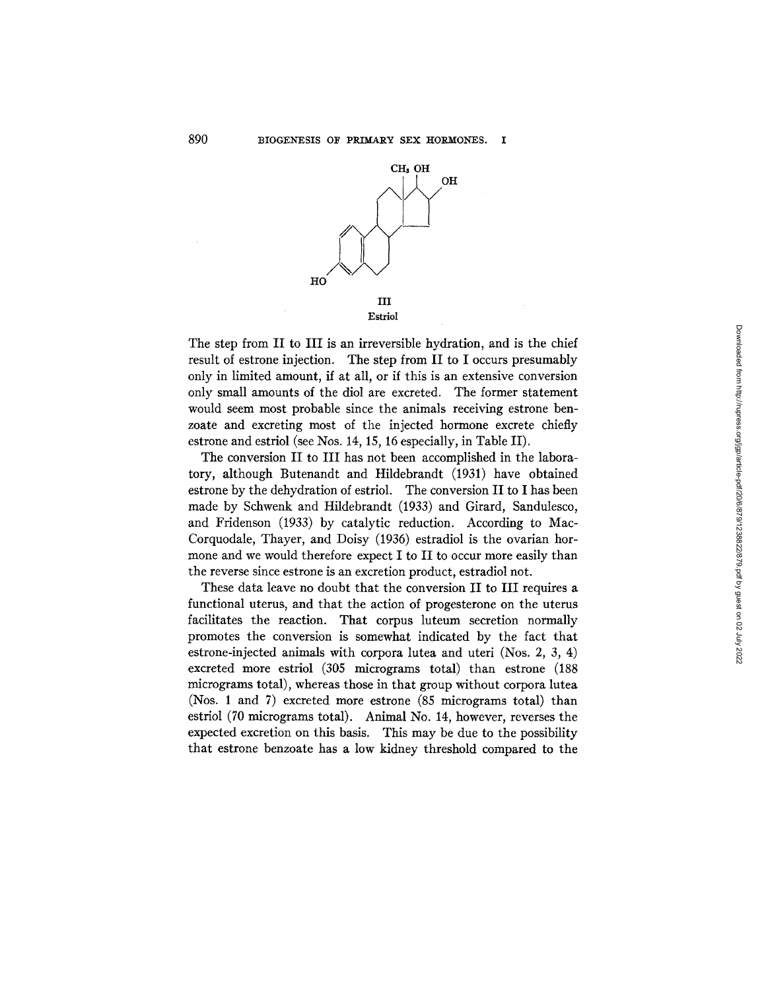

The step from II to III is an irreversible hydration, and is the chief result of estrone injection. The step from II to I occurs presumably only in limited amount, if at all, or if this is an extensive conversion only small amounts of the diol are excreted. The former statement would seem most probable since the animals receiving estrone benzoate and excreting most of the injected hormone excrete chiefly estrone and estriol (see Nos. 14, 15, 16 especially, in Table II).

The conversion II to III has not been accomplished in the laboratory, although Butenandt and Hildebrandt (1931) have obtained estrone by the dehydration of estriol. The conversion II to I has been made by Schwenk and Hildebrandt (1933) and Girard, Sandulesco, and Fridenson (1933) by catalytic reduction. According to Mac-Corquodale, Thayer, and Doisy (1936) estradiol is the ovarian hormone and we would therefore expect I to II to occur more easily than the reverse since estrone is an excretion product, estradiol not.

These data leave no doubt that the conversion II to III requires a functional uterus, and that the action of progesterone on the uterus facilitates the reaction. That corpus luteum secretion normally promotes the conversion is somewhat indicated by the fact that estrone-injected animals with corpora lutea and uteri (Nos. 2, 3, 4) excreted more estriol (305 micrograms total) than estrone (188 micrograms total), whereas those in that group without corpora lutea (Nos. 1 and 7) excreted more estrone (85 micrograms total) than estriol (70 micrograms total). Animal No. 14, however, reverses the expected excretion on this basis. This may be due to the possibility that estrone benzoate has a low kidney threshold compared to the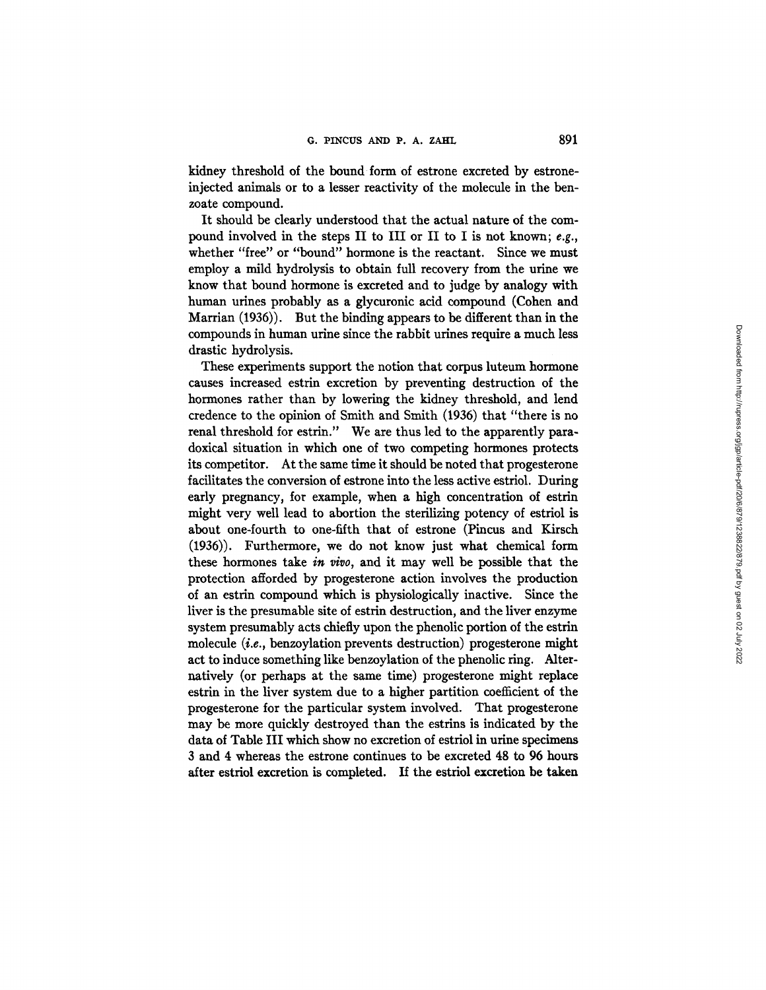kidney threshold of the bound form of estrone excreted by estroneinjected animals or to a lesser reactivity of the molecule in the benzoate compound.

It should be clearly understood that the actual nature of the compound involved in the steps II to III or II to I is not known; *e.g.,*  whether "free" or "bound" hormone is the reactant. Since we must employ a mild hydrolysis to obtain full recovery from the urine we know that bound hormone is excreted and to judge by analogy with human urines probably as a glycuronic acid compound (Cohen and Marrian (1936)). But the binding appears to be different than in the compounds in human urine since the rabbit urines require a much less drastic hydrolysis.

These experiments support the notion that corpus luteum hormone causes increased estrin excretion by preventing destruction of the hormones rather than by lowering the kidney threshold, and lend credence to the opinion of Smith and Smith (1936) that "there is no renal threshold for estrin." We are thus led to the apparently paradoxical situation in which one of two competing hormones protects its competitor. At the same time it should be noted that progesterone facilitates the conversion of estrone into the less active estriol. During early pregnancy, for example, when a high concentration of estrin might very well lead to abortion the sterilizing potency of estriol is about one-fourth to one-fifth that of estrone (Pincus and Kirsch (1936)). Furthermore, we do not know just what chemical form these hormones take in vivo, and it may well be possible that the protection afforded by progesterone action involves the production of an estrin compound which is physiologically inactive. Since the liver is the presumable site of estrin destruction, and the liver enzyme system presumably acts chiefly upon the phenolic portion of the estrin molecule  $(i.e.,$  benzovlation prevents destruction) progesterone might act to induce something like benzoylation of the phenolic ring. Alternatively (or perhaps at the same time) progesterone might replace estrin in the liver system due to a higher partition coefficient of the progesterone for the particular system involved. That progesterone may be more quickly destroyed than the estrins is indicated by the data of Table III which show no excretion of estriol in urine specimens 3 and 4 whereas the estrone continues to be excreted 48 to 96 hours after estriol excretion is completed. If the estriol excretion be taken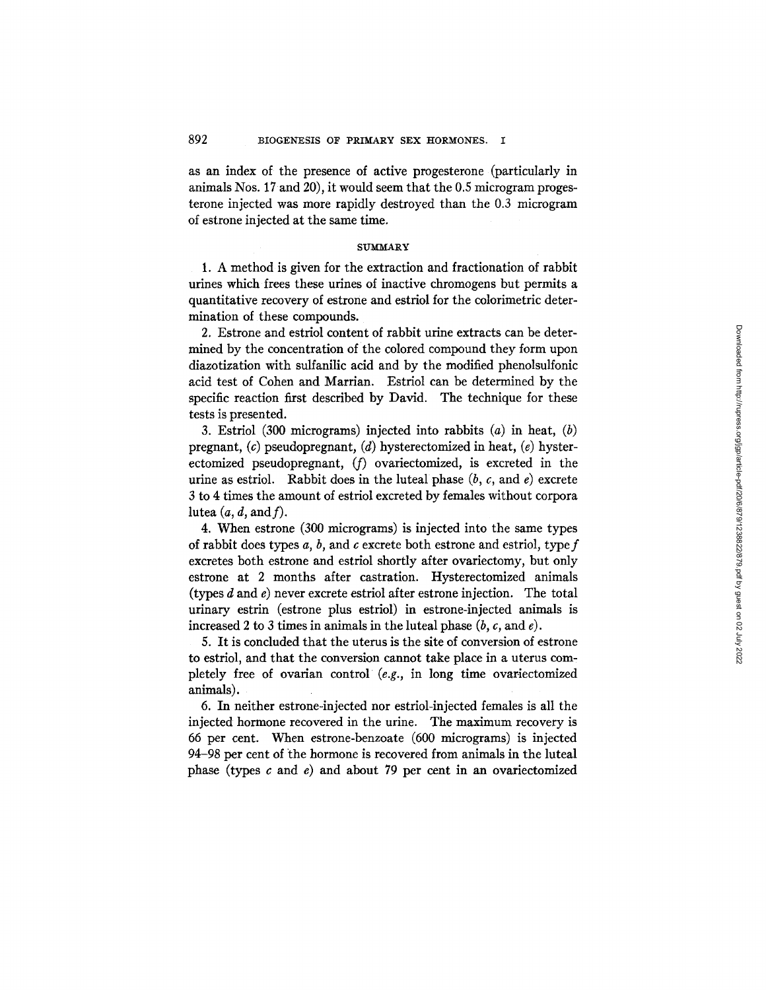as an index of the presence of active progesterone (particularly in animals Nos. 17 and 20), it would seem that the 0.5 microgram progesterone injected was more rapidly destroyed than the 0.3 microgram of estrone injected at the same time.

# **SUMMARY**

1. A method is given for the extraction and fractionation of rabbit urines which frees these urines of inactive chromogens but permits a quantitative recovery of estrone and estriol for the colorimetric determination of these compounds.

2. Estrone and estriol content of rabbit urine extracts can be determined by the concentration of the colored compound they form upon diazotization with sulfanilic acid and by the modified phenolsulfonic acid test of Cohen and Martian. Estriol can be determined by the specific reaction first described by David. The technique for these tests is presented.

3. Estriol (300 micrograms) injected into rabbits  $(a)$  in heat,  $(b)$ pregnant,  $(c)$  pseudopregnant,  $(d)$  hysterectomized in heat,  $(e)$  hysterectomized pseudopregnant, (f) ovariectomized, is excreted in the urine as estriol. Rabbit does in the luteal phase  $(b, c, \text{ and } e)$  excrete 3 to 4 times the amount of estriol excreted by females without corpora lutea  $(a, d, \text{and } f)$ .

4. When estrone (300 micrograms) is injected into the same types of rabbit does types *a, b,* and c excrete both estrone and estriol, typef excretes both estrone and estriol shortly after ovariectomy, but only estrone at 2 months after castration. Hysterectomized animals (types  $d$  and  $e$ ) never excrete estriol after estrone injection. The total urinary estrin (estrone plus estriol) in estrone-injected animals is increased 2 to 3 times in animals in the luteal phase  $(b, c, \text{ and } e)$ .

5. It is concluded that the uterus is the site of conversion of estrone to estriol, and that the conversion cannot take place in a uterus completely free of ovarian control (e.g., in long time ovariectomized animals).

6. In neither estrone-injected nor estriol-injected females is all the injected hormone recovered in the urine. The maximum recovery is 66 per cent. When estrone-benzoate (600 micrograms) is injected 94-98 per cent of the hormone is recovered from animals in the luteal phase (types  $c$  and  $e$ ) and about 79 per cent in an ovariectomized